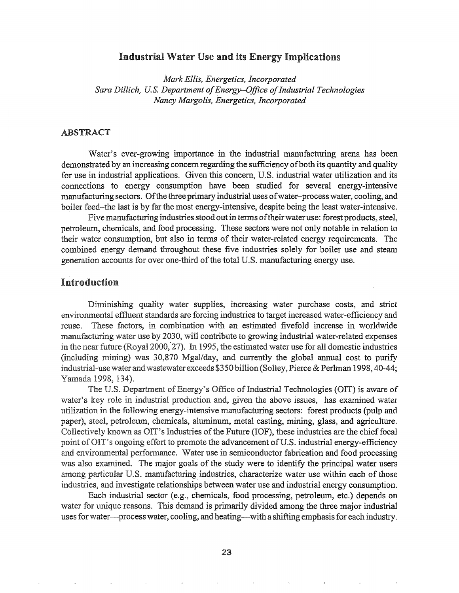# Industrial Water Use and its Energy Implications

*Mark Ellis, Energetics, Incorporated Sara Dillich, U.S. Department of*~nergy-Ojjice*ofIndustrial Technologies Nancy Margolis, Energetics, Incorporated*

## ABSTRACT

Water's ever-growing importance in the industrial manufacturing arena has been demonstrated by an increasing concern regarding the sufficiency of both its quantity and quality for use in industrial applications. Given this concern, U.S. industrial water utilization and its connections to energy consumption have been studied for several energy-intensive manufacturing sectors. Ofthe three primary industrial uses ofwater-process water, cooling, and boiler feed-the last is by far the most energy-intensive, despite being the least water-intensive.

Five manufacturing industries stood out in terms of their water use: forest products, steel, petroleum, chemicals, and food processing. These sectors were not only notable in relation to their water consumption, but also in terms of their water-related energy requirements. The combined energy demand throughout these five industries' solely for boiler use and steam generation accounts for over one-third of the total U.S. manufacturing energy use.

## Introduction

Diminishing quality water supplies, increasing water purchase costs, and strict  $e$ nvironmental effluent standards are forcing industries to target increased water-efficiency and reuse. These factors, in combination with an estimated fivefold increase in worldwide manufacturing water use by 2030, will contribute to growing industrial water-related expenses in the near future (Royal 2000, 27). In 1995, the estimated water use for all domestic industries (including mining) was 30,870 Mgal/day, and currently the global annual cost to purify industrial-use water and wastewater exceeds  $$350$  billion (Solley, Pierce & Perlman 1998, 40-44; Yamada 1998, 134).

The U.S. Department of Energy's Office of Industrial Technologies (OIT) is aware of water's key role in industrial production and, given the above issues, has examined water utilization in the following energy-intensive manufacturing sectors: forest products (pulp and paper), steel, petroleum, chemicals, aluminum, metal casting, mining, glass, and agriculture. Collectively known as OIT's Industries of the Future (IOF), these industries are the chief focal point of OIT's ongoing effort to promote the advancement of U.S. industrial energy-efficiency and enviromnental perfonnance. Water use in semiconductor fabrication and food processing was also examined. The major goals of the study were to identify the principal water users among particular U.S. manufacturing industries, characterize water use within each of those industries, and investigate relationships between water use and industrial energy consumption.

Each industrial sector (e.g., chemicals, food processing, petroleum, etc.) depends on water for unique reasons. This demand is primarily divided among the three major industrial uses for water—process water, cooling, and heating—with a shifting emphasis for each industry.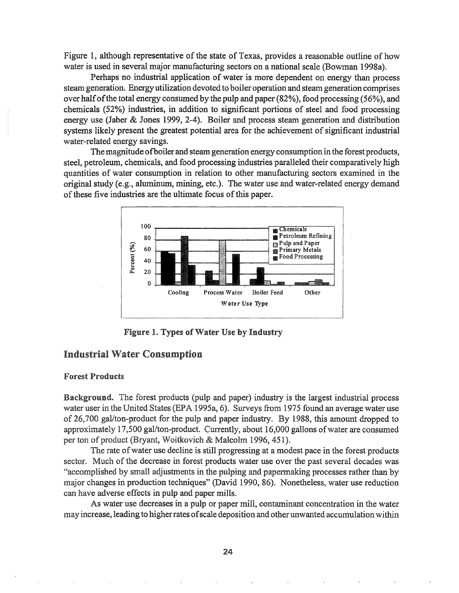Figure 1, although representative of the state of Texas, provides a reasonable outline of how water is used in several major manufacturing sectors on a national scale (Bowman 1998a).

Perhaps no industrial application of water is more dependent on energy than process steam generation. Energy utilization devoted to boiler operation and steamgeneration comprises over halfofthe total energy consumed by the pulp and paper (82%), food processing (56%), and chemicals (52%) industries, in addition to significant portions of steel and food processing energy use (Jaber & Jones 1999, 2-4). Boiler and process steam generation and distribution systems likely present the greatest potential area for the achievement of significant industrial water-related energy savings.

Themagnitude ofboiler and steam generation energy consumption in the forest products, steel, petroleum, chemicals, and food processing industries paralleled their comparatively high quantities of water consumption in relation to other manufacturing sectors examined in the original study (e.g., aluminum, mining, etc.). The water use and water-related energy demand of these five industries are the ultimate focus of this paper.



Figure 1. Types of Water Use by Industry

# Industrial Water Consumption

## Forest Products

**Background.** The forest products (pulp and paper) industry is the largest industrial process water user in the United States (EPA 1995a, 6). Surveys from 1975 found an average water use of 26,700 gal/ton-product for the pulp and paper industry. By 1988, this amount dropped to approximately 17,500 gal/ton-product. Currently, about 16,000 gallons of water are consumed per ton of product (Bryant, Woitkovich & Malcolm 1996, 451).

The rate of water use decline is still progressing at a modest pace in the forest products sector. Much of the decrease in forest products water use over the past several decades was "accomplished by small adjustments in the pulping and papennaking processes rather than by major changes in production techniques" (David 1990, 86). Nonetheless, water use reduction can have adverse effects in pulp and paper mills.

As water use decreases in a pulp or paper mill, contaminant concentration in the water may increase, leading to higherrates ofscale deposition and other unwanted accumulationwithin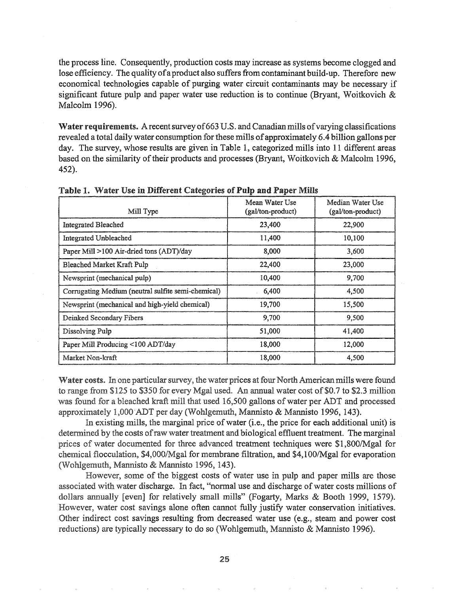the process line. Consequently, production costs may increase as systems become clogged and lose efficiency. The quality of a product also suffers from contaminant build-up. Therefore new economical technologies capable of purging water circuit contaminants may be necessary if significant future pulp and paper water use reduction is to continue (Bryant, Woitkovich & Malcolm 1996).

Water requirements. A recent survey of 663 U.S. and Canadian mills of varying classifications revealed a total daily water consumption for these mills of approximately 6.4 billion gallons per day. The survey, whose results are given in Table 1, categorized mills into 11 different areas based on the similarity of their products and processes (Bryant, Woitkovich & Malcolm 1996, 452).

| Mill Type                                          | Mean Water Use<br>(gal/ton-product) | Median Water Use<br>(gal/ton-product) |
|----------------------------------------------------|-------------------------------------|---------------------------------------|
| <b>Integrated Bleached</b>                         | 23,400                              | 22,900                                |
| Integrated Unbleached                              | 11,400                              | 10,100                                |
| Paper Mill >100 Air-dried tons (ADT)/day           | 8,000                               | 3,600                                 |
| Bleached Market Kraft Pulp                         | 22,400                              | 23,000                                |
| Newsprint (mechanical pulp)                        | 10,400                              | 9,700                                 |
| Corrugating Medium (neutral sulfite semi-chemical) | 6,400                               | 4,500                                 |
| Newsprint (mechanical and high-yield chemical)     | 19,700                              | 15,500                                |
| Deinked Secondary Fibers                           | 9,700                               | 9,500                                 |
| Dissolving Pulp                                    | 51,000                              | 41,400                                |
| Paper Mill Producing <100 ADT/day                  | 18,000                              | 12,000                                |
| Market Non-kraft                                   | 18,000                              | 4,500                                 |

Table 1. Water Use in Different Categories of Pulp and Paper Mills

Water costs. In one particular survey, the water prices at four North American mills were found to range from \$125 to \$350 for every Mgal used. An annual water cost of \$0.7 to \$2.3 million was found for a bleached kraft mill that used 16,500 gallons of water per ADT and processed approximately 1,000 ADT per day (Wohlgemuth, Mannisto & Mannisto 1996, 143).

In existing mills, the marginal price of water (i.e., the price for each additional unit) is determined by the costs of raw water treatment and biological effluent treatment. The marginal prices of water documented for three advanced treatment techniques were \$1,800/Mgal for chemical flocculation, \$4,OOO/Mgal for membrane filtration, and \$4,1OO/Mgal for evaporation (Wohlgemuth, Mannisto & Mannisto 1996, 143).

However, some of the biggest costs of water use in pulp and paper mills are those associated with water discharge. In fact, "normal use and discharge of water costs millions of dollars annually [even] for relatively small mills" (Fogarty, Marks & Booth 1999, 1579). However, water cost savings alone often cannot fully justify water conservation initiatives. Other indirect cost savings resulting from decreased water use (e.g., steam and power cost reductions) are typically necessary to do so (Wohlgemuth, Mannisto & Mannisto 1996).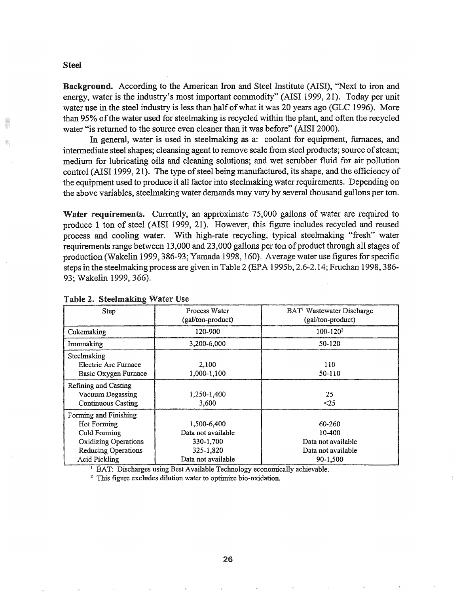#### Steel

Background. According to the American Iron and Steel Institute (AISI), "Next to iron and energy, water is the industry's most important commodity" (AISI 1999, 21). Today per unit water use in the steel industry is less than half of what it was 20 years ago (GLC 1996). More than 95% ofthe water used for steelmaking is recycled within the plant, and often the recycled water "is returned to the source even cleaner than it was before" (AISI 2000).

In general, water is used in steelmaking as a: coolant for equipment, furnaces, and intermediate steel shapes; cleansing agent to remove scale from steel products; source of steam; medium for lubricating oils and cleaning solutions; and wet scrubber fluid for air pollution control (AISI 1999, 21). The type of steel being manufactured, its shape, and the efficiency of the equipment used to produce it all factor into steelmaking water requirements. Depending on the above variables, steelmaking water demands may vary by several thousand gallons per ton.

Water requirements. Currently, an approximate 75,000 gallons of water are required to produce 1 ton of steel (AISI 1999, 21). However, this figure includes recycled and reused process and cooling water. With high-rate recycling, typical steelmaking "fresh" water requirements range between 13,000 and 23,000 gallons per ton of product through all stages of production (Wakelin 1999, 386-93; Yamada 1998, 160). Average water use figures for specific steps in the steelmaking process are given in Table 2 (EPA 1995b, 2.6-2.14; Fruehan 1998, 386-93; Wakelin 1999, 366).

| Step                                                                                                                     | Process Water<br>(gal/ton-product)                          | BAT <sup>1</sup> Wastewater Discharge<br>(gal/ton-product)   |
|--------------------------------------------------------------------------------------------------------------------------|-------------------------------------------------------------|--------------------------------------------------------------|
| Cokemaking                                                                                                               | 120-900                                                     | $100 - 120^2$                                                |
| Ironmaking                                                                                                               | 3,200-6,000                                                 | $50 - 120$                                                   |
| Steelmaking<br>Electric Arc Furnace<br>Basic Oxygen Furnace                                                              | 2,100<br>1,000-1,100                                        | 110<br>50-110                                                |
| Refining and Casting<br>Vacuum Degassing<br><b>Continuous Casting</b>                                                    | 1,250-1,400<br>3,600                                        | 25<br><25                                                    |
| Forming and Finishing<br><b>Hot Forming</b><br>Cold Forming<br><b>Oxidizing Operations</b><br><b>Reducing Operations</b> | 1,500-6,400<br>Data not available<br>330-1,700<br>325-1,820 | 60-260<br>10-400<br>Data not available<br>Data not available |
| <b>Acid Pickling</b>                                                                                                     | Data not available                                          | 90-1,500                                                     |

|  |  | Table 2. Steelmaking Water Use |  |  |  |
|--|--|--------------------------------|--|--|--|
|--|--|--------------------------------|--|--|--|

<sup>1</sup> BAT: Discharges using Best Available Technology economically achievable.

<sup>2</sup> This figure excludes dilution water to optimize bio-oxidation.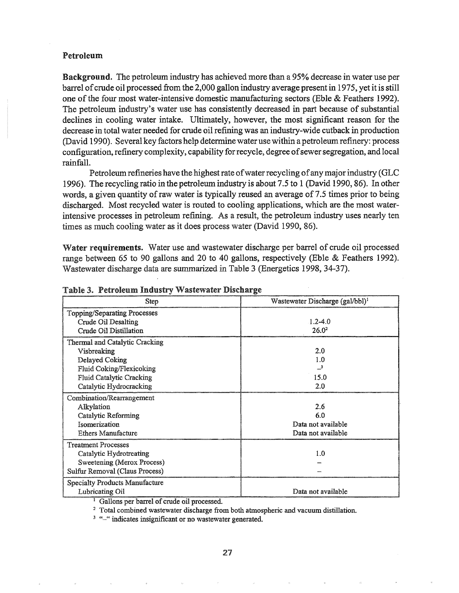### Petroleum

Background. The petroleum industry has achieved more than a 95% decrease in water use per barrel ofcrude oil processed from the 2,000 gallon industry average present in 1975, yet it is still one of the four most water-intensive domestic manufacturing sectors (Eble  $&$  Feathers 1992). The petroleum industry's water use has consistently decreased in part because of substantial declines in cooling water intake. Ultimately, however, the most significant reason for the decrease in total water needed for crude oil refining was an industry-wide cutback. in production (David 1990). Several key factors help determine water use within a petroleum refinery: process configuration, refinery complexity, capability for recycle, degree of sewer segregation, and local rainfall,

Petroleum refineries have the highest rate of water recycling of any major industry (GLC 1996). The recycling ratio in the petroleum industry is about 7.5 to 1 (David 1990, 86). In other words, a given quantity of raw water is typically reused an average of 7.5 times prior to being discharged. Most recycled water is routed to cooling applications, which are the most waterintensive processes in petroleum refining. As a result, the petroleum industry uses nearly ten times as much cooling water as it does process water (David 1990, 86).

Water requirements. Water use and wastewater discharge per barrel of crude oil processed range between 65 to 90 gallons and 20 to 40 gallons, respectively (Eble & Feathers 1992). Wastewater discharge data are summarized in Table 3 (Energetics 1998, 34-37).

| Step                                                                                                                                                      | Wastewater Discharge (gal/bbl) <sup>1</sup>            |
|-----------------------------------------------------------------------------------------------------------------------------------------------------------|--------------------------------------------------------|
| Topping/Separating Processes<br>Crude Oil Desalting<br>Crude Oil Distillation                                                                             | $1.2 - 4.0$<br>26.0 <sup>2</sup>                       |
| Thermal and Catalytic Cracking<br>Visbreaking<br>Delayed Coking<br>Fluid Coking/Flexicoking<br><b>Fluid Catalytic Cracking</b><br>Catalytic Hydrocracking | 2.0<br>1.0<br>15.0<br>2.0                              |
| Combination/Rearrangement<br>Alkylation<br>Catalytic Reforming<br>Isomerization<br>Ethers Manufacture                                                     | 2.6<br>6.0<br>Data not available<br>Data not available |
| <b>Treatment Processes</b><br>Catalytic Hydrotreating<br>Sweetening (Merox Process)<br>Sulfur Removal (Claus Process)                                     | 1.0                                                    |
| <b>Specialty Products Manufacture</b><br>Lubricating Oil                                                                                                  | Data not available                                     |

#### Table 3. Petroleum Industry Wastewater Discharge

<sup>1</sup> Gallons per barrel of crude oil processed.

<sup>2</sup> Total combined wastewater discharge from both atmospheric and vacuum distillation.

<sup>3</sup> "-" indicates insignificant or no wastewater generated.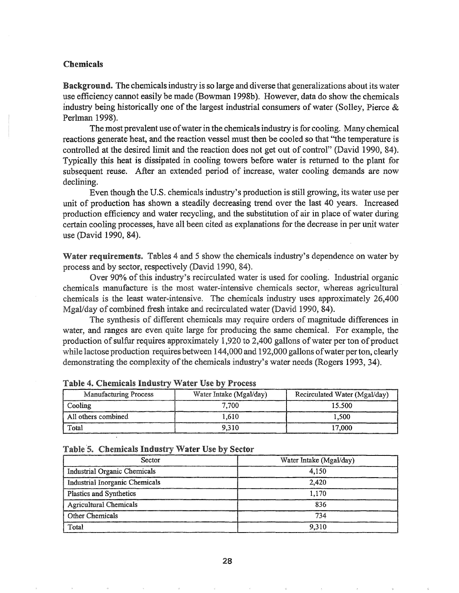## Chemicals

Background. The chemicals industry is so large and diverse that generalizations about its water use efficiency cannot easily be made (Bowman 1998b). However, data do show the chemicals industry being historically one of the largest industrial consumers of water (Solley, Pierce  $\&$ Perlman 1998).

The most prevalent use of water in the chemicals industry is for cooling. Many chemical reactions generate heat, and the reaction vessel must then be cooled so that "the temperature is controlled at the desired limit and the reaction does not get out of control" (David 1990, 84). Typically this heat is dissipated in cooling towers before water is returned to the plant for subsequent reuse. After an extended period of increase, water cooling demands are now declining.

Even though the U.S. chemicals industry's production is still growing, its water use per unit of production has shown a steadily decreasing trend over the last 40 years. Increased production efficiency and water recycling, and the substitution of air in place of water during certain cooling processes, have all been cited as explanations for the decrease in per unit water use (David 1990, 84).

Water requirements. Tables 4 and 5 show the chemicals industry's dependence on water by process and by sector, respectively (David 1990, 84).

Over 90% of this industry's recirculated water is used for cooling. Industrial organic chemicals manufacture is the most water-intensive chemicals sector, whereas agricultural chemicals is the least water-intensive. The chemicals industry uses approximately 26,400 Mgal/day of combined fresh intake and recirculated water (David 1990, 84).

The synthesis of different chemicals may require orders of magnitude differences in water, and ranges are even quite large for producing the same chemical. For example, the production of sulfur requires approximately 1,920 to 2,400 gallons of water per ton of product while lactose production requires between 144,000 and 192,000 gallons of water per ton, clearly demonstrating the complexity of the chemicals industry's water needs (Rogers 1993, 34).

| <b>Manufacturing Process</b> | Water Intake (Mgal/day) | Recirculated Water (Mgal/day) |
|------------------------------|-------------------------|-------------------------------|
| Cooling                      | 7.700                   | 15.500                        |
| All others combined          | 1.610                   | 1.500                         |
| Total                        | 9.310                   | 17.000                        |

#### Table 4. Chemicals Industry Water Use by Process

## Table 5. Chemicals Industry Water Use by Sector

| Sector                         | Water Intake (Mgal/day) |
|--------------------------------|-------------------------|
| Industrial Organic Chemicals   | 4.150                   |
| Industrial Inorganic Chemicals | 2.420                   |
| <b>Plastics and Synthetics</b> | 1.170                   |
| <b>Agricultural Chemicals</b>  | 836                     |
| Other Chemicals                | 734                     |
| Total                          | 9.310                   |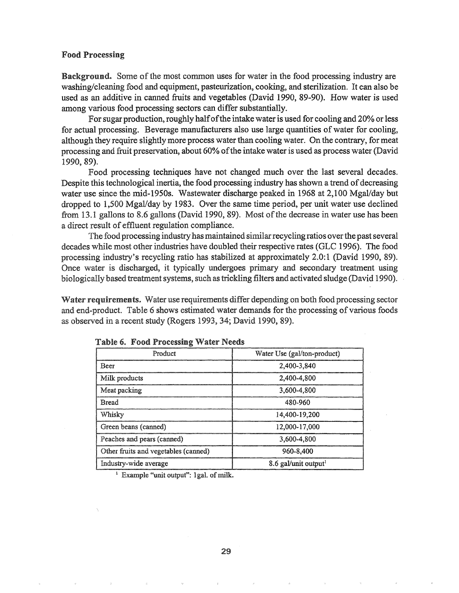### Food Processing

Background. Some of the most common uses for water in the food processing industry are washing/cleaning food and equipment, pasteurization, cooking, and sterilization. It can also be used as an additive in canned fruits and vegetables (David 1990, 89-90). How water is used among various food processing sectors can differ substantially..

For sugar production, roughly half of the intake water is used for cooling and 20% or less for actual processing. Beverage manufacturers also use large quantities of water for cooling, although they require slightly more process water than cooling water. On the contrary, for meat processing and fruit preservation, about 60% of the intake water is used as process water (David 1990, 89).

Food processing techniques have not changed much over the last several decades. Despite this technological inertia, the food processing industry has shown a trend of decreasing water use since the mid-1950s. Wastewater discharge peaked in 1968 at 2,100 Mgal/day but dropped to 1,500 Mgal/day by 1983. Over the same time period, per unit water use declined from 13.1 gallons to 8.6 gallons (David 1990, 89). Most of the decrease in water use has been a direct result of effluent regulation compliance.

The food processing industry has maintained similar recycling ratios over the past several decades while most other industries have doubled their respective rates (GLC 1996). The food processing industry's recycling ratio has stabilized at approximately 2.0:1 (David 1990, 89). Once water is discharged, it typically undergoes primary and secondary treatment using biologically based treatment systems, such as trickling filters and activated sludge (David 1990).

Water requirements. Water use requirements differ depending on both food processing sector and end-product. Table 6 shows estimated water demands for the processing of various foods as observed in a recent study (Rogers 1993, 34; David 1990, 89).

| Product                              | Water Use (gal/ton-product)      |
|--------------------------------------|----------------------------------|
| <b>Beer</b>                          | 2,400-3,840                      |
| Milk products                        | 2,400-4,800                      |
| Meat packing                         | 3,600-4,800                      |
| <b>Bread</b>                         | 480-960                          |
| Whisky                               | 14,400-19,200                    |
| Green beans (canned)                 | 12,000-17,000                    |
| Peaches and pears (canned)           | 3,600-4,800                      |
| Other fruits and vegetables (canned) | 960-8,400                        |
| Industry-wide average                | 8.6 gal/unit output <sup>1</sup> |

|  |  | Table 6. Food Processing Water Needs |  |  |
|--|--|--------------------------------------|--|--|
|--|--|--------------------------------------|--|--|

<sup>1</sup> Example "unit output": 1gal. of milk.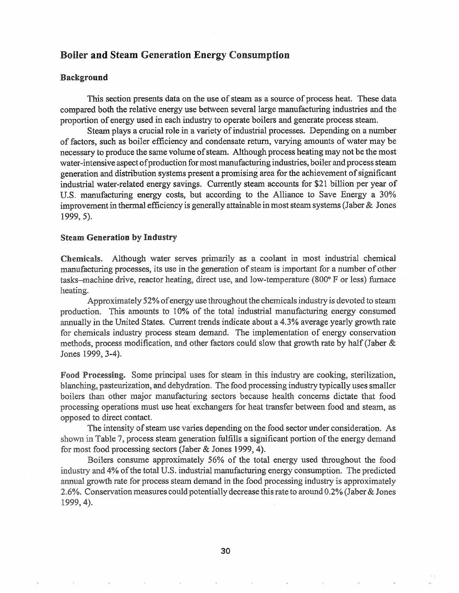# Boiler and Steam Generation Energy Consumption

#### Background

This section presents data on the use of steam as a source of process heat. These data compared both the relative energy use between several large manufacturing industries and the proportion of energy used in each industry to operate boilers and generate process steam.

Steam plays a crucial role in a variety of industrial processes. Depending on a number of factors, such as boiler efficiency and condensate return, varying amounts of water may be necessary to produce the same volume of steam. Although process heating may not be the most water-intensive aspect of production for most manufacturing industries, boiler and process steam generation and distribution systems present a promising area for the achievement of significant industrial water-related energy savings. Currently steam accounts for \$21 billion per year of U.S. manufacturing energy costs, but according to the Alliance to Save Energy a 30% improvement in thermal efficiency is generally attainable in most steam systems (Jaber  $\&$  Jones 1999, 5).

## Steam Generation by Industry

Although water serves primarily as a coolant in most industrial chemical Chemicals. manufacturing processes, its use in the generation of steam is important for a number of other tasks–machine drive, reactor heating, direct use, and low-temperature  $(800^{\circ} \text{ F or less})$  furnace heating.

Approximately 52% of energy use throughout the chemicals industry is devoted to steam production. This amounts to 10% of the total industrial manufacturing energy consumed annually in the United States. Current trends indicate about a 4.3% average yearly growth rate for chemicals industry process steam demand. The implementation of energy conservation methods, process modification, and other factors could slow that growth rate by half (Jaber  $\&$ Jones 1999, 3-4).

Food Processing. Some principal uses for steam in this industry are cooking, sterilization, blanching, pasteurization, and dehydration. The food processing industry typically uses smaller boilers than other major manufacturing sectors because health concerns dictate that food processing operations must use heat exchangers for heat transfer between food and steam, as opposed to direct contact.

The intensity of steam use varies depending on the food sector under consideration. As shown in Table 7, process steam generation fulfills a significant portion of the energy demand for most food processing sectors (Jaber & Jones 1999, 4).

Boilers consume approximately 56% of the total energy used throughout the food 4% ofthe total U.S. industrial manufacturing energy consumption. The predicted annual growth rate for process steam demand in the food processing industry is approximately 2.6%. Conservation measures could potentially decrease thisrate to around 0.2% (Jaber& Jones 1999, 4).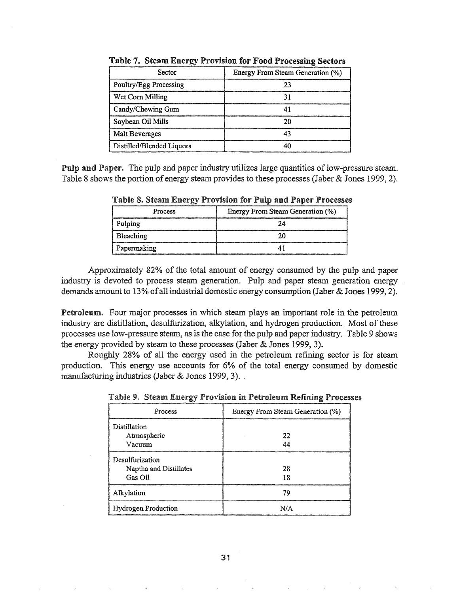| Sector                    | Energy From Steam Generation (%) |
|---------------------------|----------------------------------|
| Poultry/Egg Processing    |                                  |
| Wet Corn Milling          |                                  |
| Candy/Chewing Gum         |                                  |
| Soybean Oil Mills         |                                  |
| Malt Beverages            |                                  |
| Distilled/Blended Liquors |                                  |

Table 7. Steam Energy Provision for Food Processing Sectors

Pulp and Paper. The pulp and paper industry utilizes large quantities of low-pressure steam. Table 8 shows the portion of energy steam provides to these processes (Jaber & Jones 1999, 2).

| Process     | Energy From Steam Generation (%) |
|-------------|----------------------------------|
| Pulping     |                                  |
| Bleaching   |                                  |
| Papermaking |                                  |

Table 8. Steam Energy Provision for Pulp and Paper Processes

Approximately 82% of the total amount of energy consumed by the pulp and paper industry is devoted to process steam generation. Pulp and paper steam generation energy demands amount to 13% of all industrial domestic energy consumption (Jaber & Jones 1999, 2).

Petroleum. Four major processes in which steam plays an important role in the petroleum industry are distillation, desulfurization, alkylation, and hydrogen production. Most of these processes use low-pressure steam, as is the case for the pulp and paper industry.. Table 9 shows the energy provided by steam to these processes (Jaber  $&$  Jones 1999, 3).

Roughly 28% of all the energy used in the petroleum refining sector is for steam production.. This energy use accounts for 6% of the total energy consumed by domestic manufacturing industries (Jaber & Jones 1999, 3).

| Process                                              | Energy From Steam Generation (%) |
|------------------------------------------------------|----------------------------------|
| Distillation<br>Atmospheric<br>Vacuum                | 22                               |
| Desulfurization<br>Naptha and Distillates<br>Gas Oil | 28                               |
| Alkylation                                           | 70                               |
| <b>Hydrogen Production</b>                           |                                  |

Table 9. Steam Energy Provision in Petroleum Refining Processes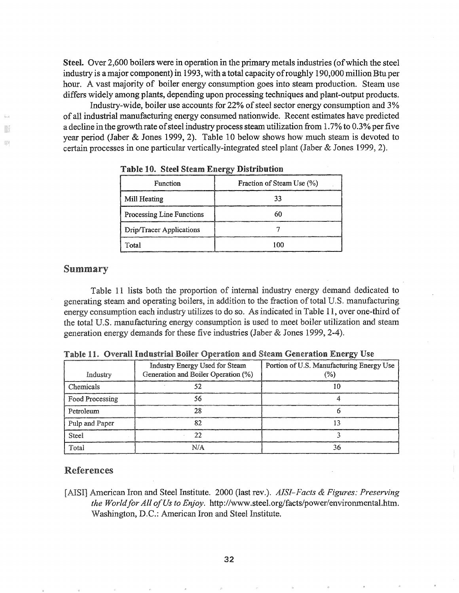Steel. Over 2,600 boilers were in operation in the primary metals industries (of which the steel industry is a major component) in 1993, with a total capacity of roughly 190,000 million Btu per hour. A vast majority of boiler energy consumption goes into steam production. Steam use differs widely among plants, depending upon processing techniques and plant-output products.

Industry-wide, boiler use accounts for  $22\%$  of steel sector energy consumption and  $3\%$ of all industrial manufacturing energy consumed nationwide~ Recent estimates have predicted a decline in the growth rate of steel industry process steam utilization from 1.7% to 0.3% per five year period (Jaber & Jones 1999, 2). Table 10 below shows how much steam is devoted to certain processes in one particular vertically-integrated steel plant (Jaber & Jones 1999, 2).

| Function                  | Fraction of Steam Use (%) |
|---------------------------|---------------------------|
| Mill Heating              |                           |
| Processing Line Functions |                           |
| Drip/Tracer Applications  |                           |
| Total                     | າກຕ                       |

|  |  |  |  |  | <b>Table 10. Steel Steam Energy Distribution</b> |
|--|--|--|--|--|--------------------------------------------------|
|--|--|--|--|--|--------------------------------------------------|

## Summary

B  $\mathbb{Z}^d$ 

> Table 11 lists both the proportion of internal industry energy demand dedicated to generating steam and operating boilers, in addition to the fraction of total U.S. manufacturing energy consumption each industry utilizes to do so. As indicated in Table 11, over one-third of the total U.S. manufacturing energy consumption is used to meet boiler utilization and steam generation energy demands for these five industries (Jaber & Jones 1999, 2-4).

| Industry        | Industry Energy Used for Steam<br>Generation and Boiler Operation (%) | Portion of U.S. Manufacturing Energy Use<br>% |
|-----------------|-----------------------------------------------------------------------|-----------------------------------------------|
| Chemicals       |                                                                       |                                               |
| Food Processing | 56.                                                                   |                                               |
| Petroleum       | 78                                                                    |                                               |
| Pulp and Paper  |                                                                       |                                               |
| Steel           |                                                                       |                                               |
| Total           | N/A                                                                   | 36                                            |

Table 11. Overall Industrial Boiler Operation and Steam Generation Energy Use

# References

[AISI] American Iron and Steel Institute. 2000 (last rev.). *AISI-Facts & Figures: Preserving the Worldfor All ofUs to Enjoy.* http://www.steeLorg/facts/power/environmentaLhtm. Washington, D.C.: American Iron and Steel Institute.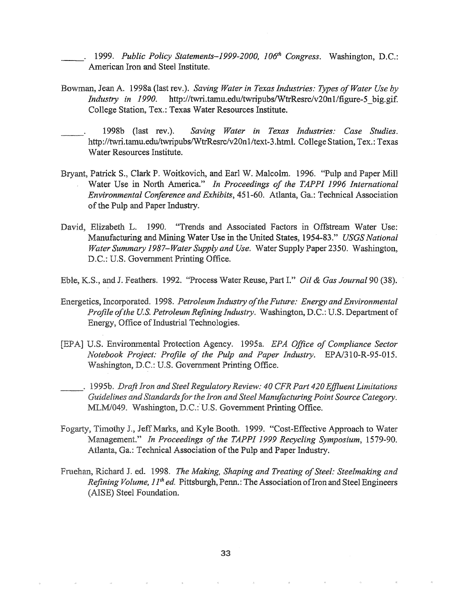\_\_. 1999. *Public Policy Statements-1999-2000, l06th Congress.* Washington, D.C.: American Iron and Steel Institute.

- Bowman, Jean A. 1998a (last rev.). *Saving Water in Texas Industries: Types ofWater Use by Industry in* 1990. http://twri.tamu.edu/twripubs/WtrResrc/v20n1/figure-5 big.gif. College Station, Tex.: Texas Water Resources Institute.
- 1998b (last rev.). *Saving Water in Texas Industries: Case Studies.* http://twri.tamu.edu/twripubs/WtrResrc/v20n1/text-3.html. College Station, Tex.: Texas Water Resources Institute.
- Bryant, Patrick S., Clark P. Woitkovich, and Earl W. Malcolm. 1996. "Pulp and Paper Mill Water Use in North America." *In Proceedings of the TAPPI* 1996 *International Environmental Conference and Exhibits,* 451-60. Atlanta, Ga.: Technical Association of the Pulp and Paper Industry.
- David, Elizabeth L. 1990. "Trends and Associated Factors in Offstream Water Use: Manufacturing and Mining Water Use in the United States, 1954-83." *USGS National Water Summary 1987–Water Supply and Use.* Water Supply Paper 2350. Washington, D.C.: U.S. Government Printing Office.
- Eble, K.S., and J. Feathers. 1992. "Process Water Reuse, Part I." *Oil & Gas Journal* 90 (38).
- Energetics, Incorporated. 1998. *Petroleum Industry of the Future: Energy and Environmental Profile of the U.S. Petroleum Refining Industry.* Washington, D.C.: U.S. Department of Energy, Office of Industrial Technologies.
- [EPA] U.S. Environmental Protection Agency. 1995a. *EPA Office of Compliance Sector Notebook Project: Profile of the Pulp and Paper Industry. EPA/310-R-95-015.* Washington, D.C.: U.S. Government Printing Office.
- *Draft Iron and Steel Regulatory Review: 40 CFR Part 420 Effluent Limitations Guidelines and Standardsfor the Iron and Steel Manufacturing Point Source Category.* MLM/049. Washington, D.C.: U.S. Government Printing Office.
- Fogarty, Timothy J., Jeff Marks, and Kyle Booth. 1999. "Cost-Effective Approach to Water Management~" *In Proceedings of the TAPPI* 1999 *Recycling Symposium, 1579-90.* Atlanta, Ga.: Technical Association of the Pulp and Paper Industry.
- \_\_Jl.~"~.lI."Il Richard J6 ed. 1998. *The Making, Shaping and Treating ofSteel: Steelmaking and Refining Volume, 11th ed.* Pittsburgh, Penn.: The Association ofIron and Steel Engineers (AISE) Steel Foundation.